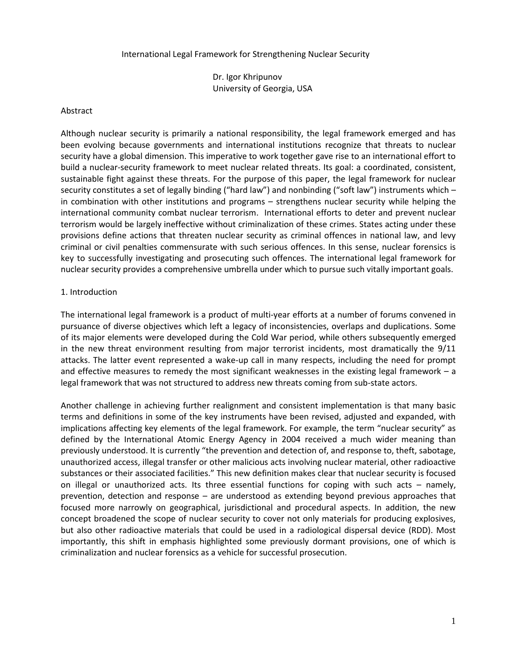#### International Legal Framework for Strengthening Nuclear Security

Dr. Igor Khripunov University of Georgia, USA

#### Abstract

Although nuclear security is primarily a national responsibility, the legal framework emerged and has been evolving because governments and international institutions recognize that threats to nuclear security have a global dimension. This imperative to work together gave rise to an international effort to build a nuclear-security framework to meet nuclear related threats. Its goal: a coordinated, consistent, sustainable fight against these threats. For the purpose of this paper, the legal framework for nuclear security constitutes a set of legally binding ("hard law") and nonbinding ("soft law") instruments which – in combination with other institutions and programs – strengthens nuclear security while helping the international community combat nuclear terrorism. International efforts to deter and prevent nuclear terrorism would be largely ineffective without criminalization of these crimes. States acting under these provisions define actions that threaten nuclear security as criminal offences in national law, and levy criminal or civil penalties commensurate with such serious offences. In this sense, nuclear forensics is key to successfully investigating and prosecuting such offences. The international legal framework for nuclear security provides a comprehensive umbrella under which to pursue such vitally important goals.

## 1. Introduction

The international legal framework is a product of multi-year efforts at a number of forums convened in pursuance of diverse objectives which left a legacy of inconsistencies, overlaps and duplications. Some of its major elements were developed during the Cold War period, while others subsequently emerged in the new threat environment resulting from major terrorist incidents, most dramatically the 9/11 attacks. The latter event represented a wake-up call in many respects, including the need for prompt and effective measures to remedy the most significant weaknesses in the existing legal framework – a legal framework that was not structured to address new threats coming from sub-state actors.

Another challenge in achieving further realignment and consistent implementation is that many basic terms and definitions in some of the key instruments have been revised, adjusted and expanded, with implications affecting key elements of the legal framework. For example, the term "nuclear security" as defined by the International Atomic Energy Agency in 2004 received a much wider meaning than previously understood. It is currently "the prevention and detection of, and response to, theft, sabotage, unauthorized access, illegal transfer or other malicious acts involving nuclear material, other radioactive substances or their associated facilities." This new definition makes clear that nuclear security is focused on illegal or unauthorized acts. Its three essential functions for coping with such acts – namely, prevention, detection and response – are understood as extending beyond previous approaches that focused more narrowly on geographical, jurisdictional and procedural aspects. In addition, the new concept broadened the scope of nuclear security to cover not only materials for producing explosives, but also other radioactive materials that could be used in a radiological dispersal device (RDD). Most importantly, this shift in emphasis highlighted some previously dormant provisions, one of which is criminalization and nuclear forensics as a vehicle for successful prosecution.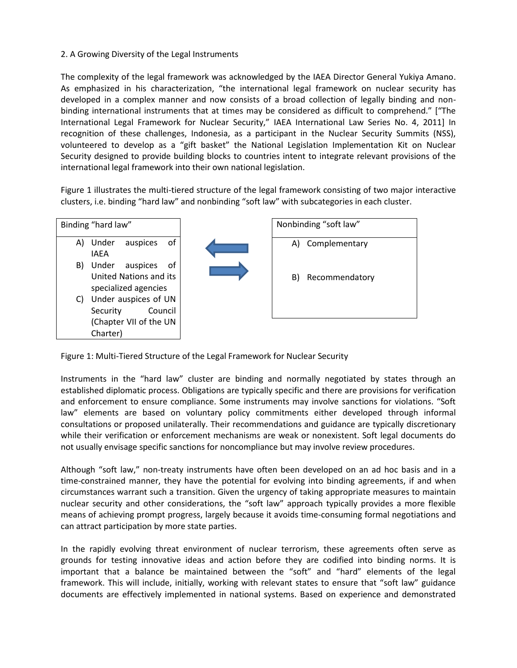## 2. A Growing Diversity of the Legal Instruments

The complexity of the legal framework was acknowledged by the IAEA Director General Yukiya Amano. As emphasized in his characterization, "the international legal framework on nuclear security has developed in a complex manner and now consists of a broad collection of legally binding and nonbinding international instruments that at times may be considered as difficult to comprehend." ["The International Legal Framework for Nuclear Security," IAEA International Law Series No. 4, 2011] In recognition of these challenges, Indonesia, as a participant in the Nuclear Security Summits (NSS), volunteered to develop as a "gift basket" the National Legislation Implementation Kit on Nuclear Security designed to provide building blocks to countries intent to integrate relevant provisions of the international legal framework into their own national legislation.

Figure 1 illustrates the multi-tiered structure of the legal framework consisting of two major interactive clusters, i.e. binding "hard law" and nonbinding "soft law" with subcategories in each cluster.

| A) Complementary     |
|----------------------|
|                      |
| Recommendatory<br>B) |
|                      |
|                      |

Figure 1: Multi-Tiered Structure of the Legal Framework for Nuclear Security

Instruments in the "hard law" cluster are binding and normally negotiated by states through an established diplomatic process. Obligations are typically specific and there are provisions for verification and enforcement to ensure compliance. Some instruments may involve sanctions for violations. "Soft law" elements are based on voluntary policy commitments either developed through informal consultations or proposed unilaterally. Their recommendations and guidance are typically discretionary while their verification or enforcement mechanisms are weak or nonexistent. Soft legal documents do not usually envisage specific sanctions for noncompliance but may involve review procedures.

Although "soft law," non-treaty instruments have often been developed on an ad hoc basis and in a time-constrained manner, they have the potential for evolving into binding agreements, if and when circumstances warrant such a transition. Given the urgency of taking appropriate measures to maintain nuclear security and other considerations, the "soft law" approach typically provides a more flexible means of achieving prompt progress, largely because it avoids time-consuming formal negotiations and can attract participation by more state parties.

In the rapidly evolving threat environment of nuclear terrorism, these agreements often serve as grounds for testing innovative ideas and action before they are codified into binding norms. It is important that a balance be maintained between the "soft" and "hard" elements of the legal framework. This will include, initially, working with relevant states to ensure that "soft law" guidance documents are effectively implemented in national systems. Based on experience and demonstrated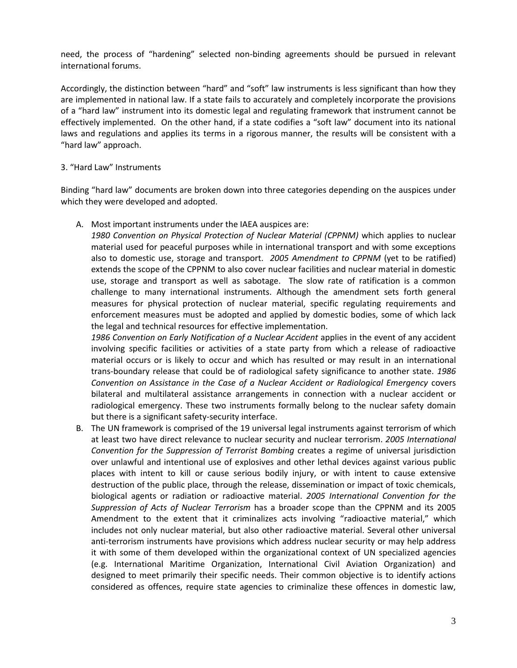need, the process of "hardening" selected non-binding agreements should be pursued in relevant international forums.

Accordingly, the distinction between "hard" and "soft" law instruments is less significant than how they are implemented in national law. If a state fails to accurately and completely incorporate the provisions of a "hard law" instrument into its domestic legal and regulating framework that instrument cannot be effectively implemented. On the other hand, if a state codifies a "soft law" document into its national laws and regulations and applies its terms in a rigorous manner, the results will be consistent with a "hard law" approach.

#### 3. "Hard Law" Instruments

Binding "hard law" documents are broken down into three categories depending on the auspices under which they were developed and adopted.

A. Most important instruments under the IAEA auspices are:

*1980 Convention on Physical Protection of Nuclear Material (CPPNM)* which applies to nuclear material used for peaceful purposes while in international transport and with some exceptions also to domestic use, storage and transport. *2005 Amendment to CPPNM* (yet to be ratified) extends the scope of the CPPNM to also cover nuclear facilities and nuclear material in domestic use, storage and transport as well as sabotage. The slow rate of ratification is a common challenge to many international instruments. Although the amendment sets forth general measures for physical protection of nuclear material, specific regulating requirements and enforcement measures must be adopted and applied by domestic bodies, some of which lack the legal and technical resources for effective implementation.

*1986 Convention on Early Notification of a Nuclear Accident* applies in the event of any accident involving specific facilities or activities of a state party from which a release of radioactive material occurs or is likely to occur and which has resulted or may result in an international trans-boundary release that could be of radiological safety significance to another state. *1986 Convention on Assistance in the Case of a Nuclear Accident or Radiological Emergency* covers bilateral and multilateral assistance arrangements in connection with a nuclear accident or radiological emergency. These two instruments formally belong to the nuclear safety domain but there is a significant safety-security interface.

B. The UN framework is comprised of the 19 universal legal instruments against terrorism of which at least two have direct relevance to nuclear security and nuclear terrorism. *2005 International Convention for the Suppression of Terrorist Bombing* creates a regime of universal jurisdiction over unlawful and intentional use of explosives and other lethal devices against various public places with intent to kill or cause serious bodily injury, or with intent to cause extensive destruction of the public place, through the release, dissemination or impact of toxic chemicals, biological agents or radiation or radioactive material. *2005 International Convention for the Suppression of Acts of Nuclear Terrorism* has a broader scope than the CPPNM and its 2005 Amendment to the extent that it criminalizes acts involving "radioactive material," which includes not only nuclear material, but also other radioactive material. Several other universal anti-terrorism instruments have provisions which address nuclear security or may help address it with some of them developed within the organizational context of UN specialized agencies (e.g. International Maritime Organization, International Civil Aviation Organization) and designed to meet primarily their specific needs. Their common objective is to identify actions considered as offences, require state agencies to criminalize these offences in domestic law,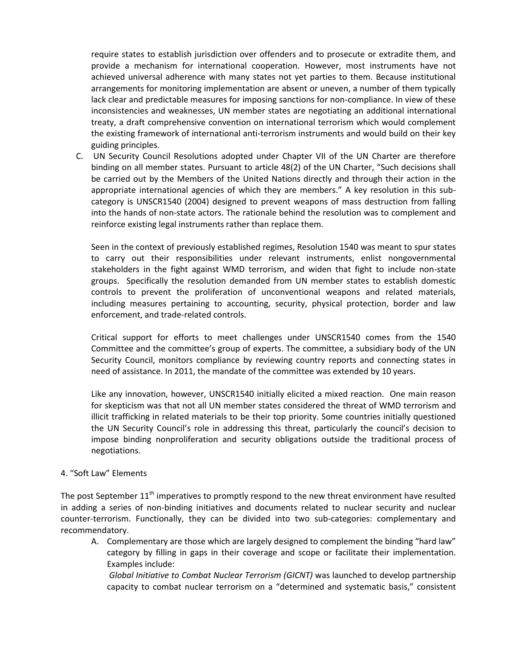require states to establish jurisdiction over offenders and to prosecute or extradite them, and provide a mechanism for international cooperation. However, most instruments have not achieved universal adherence with many states not yet parties to them. Because institutional arrangements for monitoring implementation are absent or uneven, a number of them typically lack clear and predictable measures for imposing sanctions for non-compliance. In view of these inconsistencies and weaknesses, UN member states are negotiating an additional international treaty, a draft comprehensive convention on international terrorism which would complement the existing framework of international anti-terrorism instruments and would build on their key guiding principles.

C. UN Security Council Resolutions adopted under Chapter VII of the UN Charter are therefore binding on all member states. Pursuant to article 48(2) of the UN Charter, "Such decisions shall be carried out by the Members of the United Nations directly and through their action in the appropriate international agencies of which they are members." A key resolution in this subcategory is UNSCR1540 (2004) designed to prevent weapons of mass destruction from falling into the hands of non-state actors. The rationale behind the resolution was to complement and reinforce existing legal instruments rather than replace them.

Seen in the context of previously established regimes, Resolution 1540 was meant to spur states to carry out their responsibilities under relevant instruments, enlist nongovernmental stakeholders in the fight against WMD terrorism, and widen that fight to include non-state groups. Specifically the resolution demanded from UN member states to establish domestic controls to prevent the proliferation of unconventional weapons and related materials, including measures pertaining to accounting, security, physical protection, border and law enforcement, and trade-related controls.

Critical support for efforts to meet challenges under UNSCR1540 comes from the 1540 Committee and the committee's group of experts. The committee, a subsidiary body of the UN Security Council, monitors compliance by reviewing country reports and connecting states in need of assistance. In 2011, the mandate of the committee was extended by 10 years.

Like any innovation, however, UNSCR1540 initially elicited a mixed reaction. One main reason for skepticism was that not all UN member states considered the threat of WMD terrorism and illicit trafficking in related materials to be their top priority. Some countries initially questioned the UN Security Council's role in addressing this threat, particularly the council's decision to impose binding nonproliferation and security obligations outside the traditional process of negotiations.

## 4. "Soft Law" Elements

The post September  $11<sup>th</sup>$  imperatives to promptly respond to the new threat environment have resulted in adding a series of non-binding initiatives and documents related to nuclear security and nuclear counter-terrorism. Functionally, they can be divided into two sub-categories: complementary and recommendatory.

A. Complementary are those which are largely designed to complement the binding "hard law" category by filling in gaps in their coverage and scope or facilitate their implementation. Examples include:

*Global Initiative to Combat Nuclear Terrorism (GICNT)* was launched to develop partnership capacity to combat nuclear terrorism on a "determined and systematic basis," consistent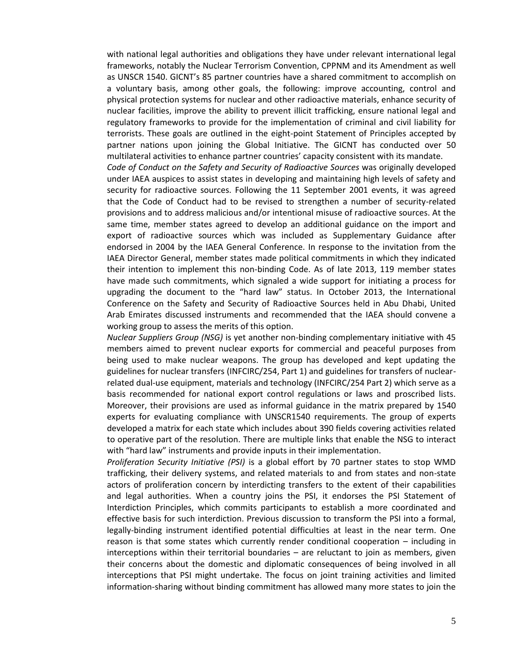with national legal authorities and obligations they have under relevant international legal frameworks, notably the Nuclear Terrorism Convention, CPPNM and its Amendment as well as UNSCR 1540. GICNT's 85 partner countries have a shared commitment to accomplish on a voluntary basis, among other goals, the following: improve accounting, control and physical protection systems for nuclear and other radioactive materials, enhance security of nuclear facilities, improve the ability to prevent illicit trafficking, ensure national legal and regulatory frameworks to provide for the implementation of criminal and civil liability for terrorists. These goals are outlined in the eight-point Statement of Principles accepted by partner nations upon joining the Global Initiative. The GICNT has conducted over 50 multilateral activities to enhance partner countries' capacity consistent with its mandate.

*Code of Conduct on the Safety and Security of Radioactive Sources* was originally developed under IAEA auspices to assist states in developing and maintaining high levels of safety and security for radioactive sources. Following the 11 September 2001 events, it was agreed that the Code of Conduct had to be revised to strengthen a number of security-related provisions and to address malicious and/or intentional misuse of radioactive sources. At the same time, member states agreed to develop an additional guidance on the import and export of radioactive sources which was included as Supplementary Guidance after endorsed in 2004 by the IAEA General Conference. In response to the invitation from the IAEA Director General, member states made political commitments in which they indicated their intention to implement this non-binding Code. As of late 2013, 119 member states have made such commitments, which signaled a wide support for initiating a process for upgrading the document to the "hard law" status. In October 2013, the International Conference on the Safety and Security of Radioactive Sources held in Abu Dhabi, United Arab Emirates discussed instruments and recommended that the IAEA should convene a working group to assess the merits of this option.

*Nuclear Suppliers Group (NSG)* is yet another non-binding complementary initiative with 45 members aimed to prevent nuclear exports for commercial and peaceful purposes from being used to make nuclear weapons. The group has developed and kept updating the guidelines for nuclear transfers (INFCIRC/254, Part 1) and guidelines for transfers of nuclearrelated dual-use equipment, materials and technology (INFCIRC/254 Part 2) which serve as a basis recommended for national export control regulations or laws and proscribed lists. Moreover, their provisions are used as informal guidance in the matrix prepared by 1540 experts for evaluating compliance with UNSCR1540 requirements. The group of experts developed a matrix for each state which includes about 390 fields covering activities related to operative part of the resolution. There are multiple links that enable the NSG to interact with "hard law" instruments and provide inputs in their implementation.

*Proliferation Security Initiative (PSI)* is a global effort by 70 partner states to stop WMD trafficking, their delivery systems, and related materials to and from states and non-state actors of proliferation concern by interdicting transfers to the extent of their capabilities and legal authorities. When a country joins the PSI, it endorses the PSI Statement of Interdiction Principles, which commits participants to establish a more coordinated and effective basis for such interdiction. Previous discussion to transform the PSI into a formal, legally-binding instrument identified potential difficulties at least in the near term. One reason is that some states which currently render conditional cooperation – including in interceptions within their territorial boundaries – are reluctant to join as members, given their concerns about the domestic and diplomatic consequences of being involved in all interceptions that PSI might undertake. The focus on joint training activities and limited information-sharing without binding commitment has allowed many more states to join the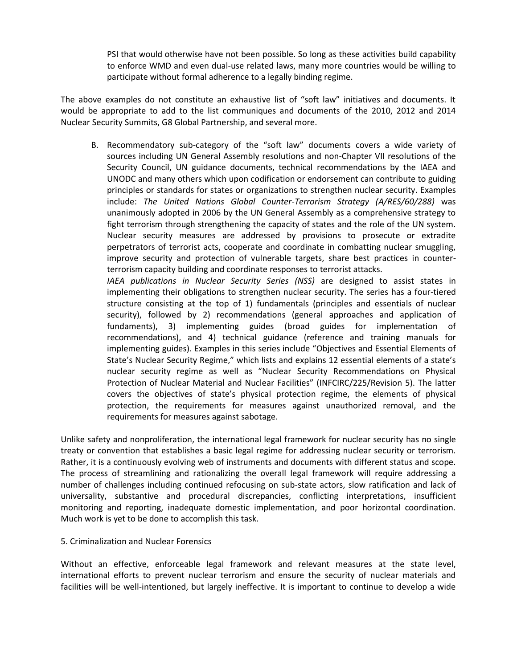PSI that would otherwise have not been possible. So long as these activities build capability to enforce WMD and even dual-use related laws, many more countries would be willing to participate without formal adherence to a legally binding regime.

The above examples do not constitute an exhaustive list of "soft law" initiatives and documents. It would be appropriate to add to the list communiques and documents of the 2010, 2012 and 2014 Nuclear Security Summits, G8 Global Partnership, and several more.

B. Recommendatory sub-category of the "soft law" documents covers a wide variety of sources including UN General Assembly resolutions and non-Chapter VII resolutions of the Security Council, UN guidance documents, technical recommendations by the IAEA and UNODC and many others which upon codification or endorsement can contribute to guiding principles or standards for states or organizations to strengthen nuclear security. Examples include: *The United Nations Global Counter-Terrorism Strategy (A/RES/60/288)* was unanimously adopted in 2006 by the UN General Assembly as a comprehensive strategy to fight terrorism through strengthening the capacity of states and the role of the UN system. Nuclear security measures are addressed by provisions to prosecute or extradite perpetrators of terrorist acts, cooperate and coordinate in combatting nuclear smuggling, improve security and protection of vulnerable targets, share best practices in counterterrorism capacity building and coordinate responses to terrorist attacks.

*IAEA publications in Nuclear Security Series (NSS)* are designed to assist states in implementing their obligations to strengthen nuclear security. The series has a four-tiered structure consisting at the top of 1) fundamentals (principles and essentials of nuclear security), followed by 2) recommendations (general approaches and application of fundaments), 3) implementing guides (broad guides for implementation of recommendations), and 4) technical guidance (reference and training manuals for implementing guides). Examples in this series include "Objectives and Essential Elements of State's Nuclear Security Regime," which lists and explains 12 essential elements of a state's nuclear security regime as well as "Nuclear Security Recommendations on Physical Protection of Nuclear Material and Nuclear Facilities" (INFCIRC/225/Revision 5). The latter covers the objectives of state's physical protection regime, the elements of physical protection, the requirements for measures against unauthorized removal, and the requirements for measures against sabotage.

Unlike safety and nonproliferation, the international legal framework for nuclear security has no single treaty or convention that establishes a basic legal regime for addressing nuclear security or terrorism. Rather, it is a continuously evolving web of instruments and documents with different status and scope. The process of streamlining and rationalizing the overall legal framework will require addressing a number of challenges including continued refocusing on sub-state actors, slow ratification and lack of universality, substantive and procedural discrepancies, conflicting interpretations, insufficient monitoring and reporting, inadequate domestic implementation, and poor horizontal coordination. Much work is yet to be done to accomplish this task.

## 5. Criminalization and Nuclear Forensics

Without an effective, enforceable legal framework and relevant measures at the state level, international efforts to prevent nuclear terrorism and ensure the security of nuclear materials and facilities will be well-intentioned, but largely ineffective. It is important to continue to develop a wide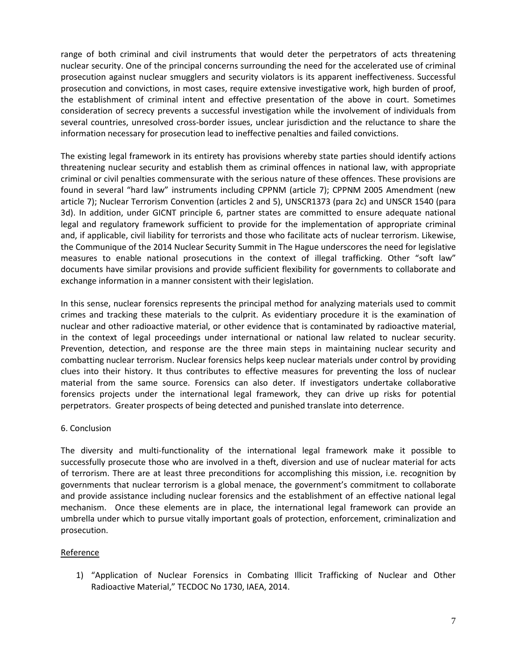range of both criminal and civil instruments that would deter the perpetrators of acts threatening nuclear security. One of the principal concerns surrounding the need for the accelerated use of criminal prosecution against nuclear smugglers and security violators is its apparent ineffectiveness. Successful prosecution and convictions, in most cases, require extensive investigative work, high burden of proof, the establishment of criminal intent and effective presentation of the above in court. Sometimes consideration of secrecy prevents a successful investigation while the involvement of individuals from several countries, unresolved cross-border issues, unclear jurisdiction and the reluctance to share the information necessary for prosecution lead to ineffective penalties and failed convictions.

The existing legal framework in its entirety has provisions whereby state parties should identify actions threatening nuclear security and establish them as criminal offences in national law, with appropriate criminal or civil penalties commensurate with the serious nature of these offences. These provisions are found in several "hard law" instruments including CPPNM (article 7); CPPNM 2005 Amendment (new article 7); Nuclear Terrorism Convention (articles 2 and 5), UNSCR1373 (para 2c) and UNSCR 1540 (para 3d). In addition, under GICNT principle 6, partner states are committed to ensure adequate national legal and regulatory framework sufficient to provide for the implementation of appropriate criminal and, if applicable, civil liability for terrorists and those who facilitate acts of nuclear terrorism. Likewise, the Communique of the 2014 Nuclear Security Summit in The Hague underscores the need for legislative measures to enable national prosecutions in the context of illegal trafficking. Other "soft law" documents have similar provisions and provide sufficient flexibility for governments to collaborate and exchange information in a manner consistent with their legislation.

In this sense, nuclear forensics represents the principal method for analyzing materials used to commit crimes and tracking these materials to the culprit. As evidentiary procedure it is the examination of nuclear and other radioactive material, or other evidence that is contaminated by radioactive material, in the context of legal proceedings under international or national law related to nuclear security. Prevention, detection, and response are the three main steps in maintaining nuclear security and combatting nuclear terrorism. Nuclear forensics helps keep nuclear materials under control by providing clues into their history. It thus contributes to effective measures for preventing the loss of nuclear material from the same source. Forensics can also deter. If investigators undertake collaborative forensics projects under the international legal framework, they can drive up risks for potential perpetrators. Greater prospects of being detected and punished translate into deterrence.

## 6. Conclusion

The diversity and multi-functionality of the international legal framework make it possible to successfully prosecute those who are involved in a theft, diversion and use of nuclear material for acts of terrorism. There are at least three preconditions for accomplishing this mission, i.e. recognition by governments that nuclear terrorism is a global menace, the government's commitment to collaborate and provide assistance including nuclear forensics and the establishment of an effective national legal mechanism. Once these elements are in place, the international legal framework can provide an umbrella under which to pursue vitally important goals of protection, enforcement, criminalization and prosecution.

# Reference

1) "Application of Nuclear Forensics in Combating Illicit Trafficking of Nuclear and Other Radioactive Material," TECDOC No 1730, IAEA, 2014.